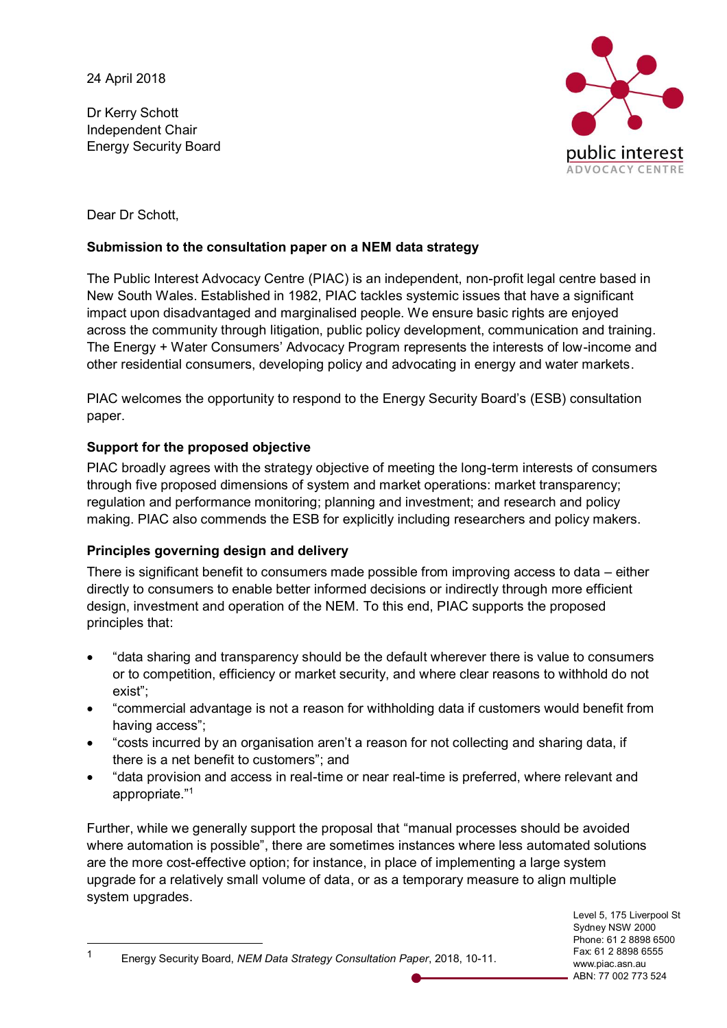Dr Kerry Schott Independent Chair Energy Security Board



Dear Dr Schott,

### **Submission to the consultation paper on a NEM data strategy**

The Public Interest Advocacy Centre (PIAC) is an independent, non-profit legal centre based in New South Wales. Established in 1982, PIAC tackles systemic issues that have a significant impact upon disadvantaged and marginalised people. We ensure basic rights are enjoyed across the community through litigation, public policy development, communication and training. The Energy + Water Consumers' Advocacy Program represents the interests of low-income and other residential consumers, developing policy and advocating in energy and water markets.

PIAC welcomes the opportunity to respond to the Energy Security Board's (ESB) consultation paper.

# **Support for the proposed objective**

PIAC broadly agrees with the strategy objective of meeting the long-term interests of consumers through five proposed dimensions of system and market operations: market transparency; regulation and performance monitoring; planning and investment; and research and policy making. PIAC also commends the ESB for explicitly including researchers and policy makers.

# **Principles governing design and delivery**

There is significant benefit to consumers made possible from improving access to data – either directly to consumers to enable better informed decisions or indirectly through more efficient design, investment and operation of the NEM. To this end, PIAC supports the proposed principles that:

- "data sharing and transparency should be the default wherever there is value to consumers or to competition, efficiency or market security, and where clear reasons to withhold do not exist";
- "commercial advantage is not a reason for withholding data if customers would benefit from having access";
- "costs incurred by an organisation aren't a reason for not collecting and sharing data, if there is a net benefit to customers"; and
- "data provision and access in real-time or near real-time is preferred, where relevant and appropriate."<sup>1</sup>

Further, while we generally support the proposal that "manual processes should be avoided where automation is possible", there are sometimes instances where less automated solutions are the more cost-effective option; for instance, in place of implementing a large system upgrade for a relatively small volume of data, or as a temporary measure to align multiple system upgrades.

1 Energy Security Board, *NEM Data Strategy Consultation Paper*, 2018, 10-11.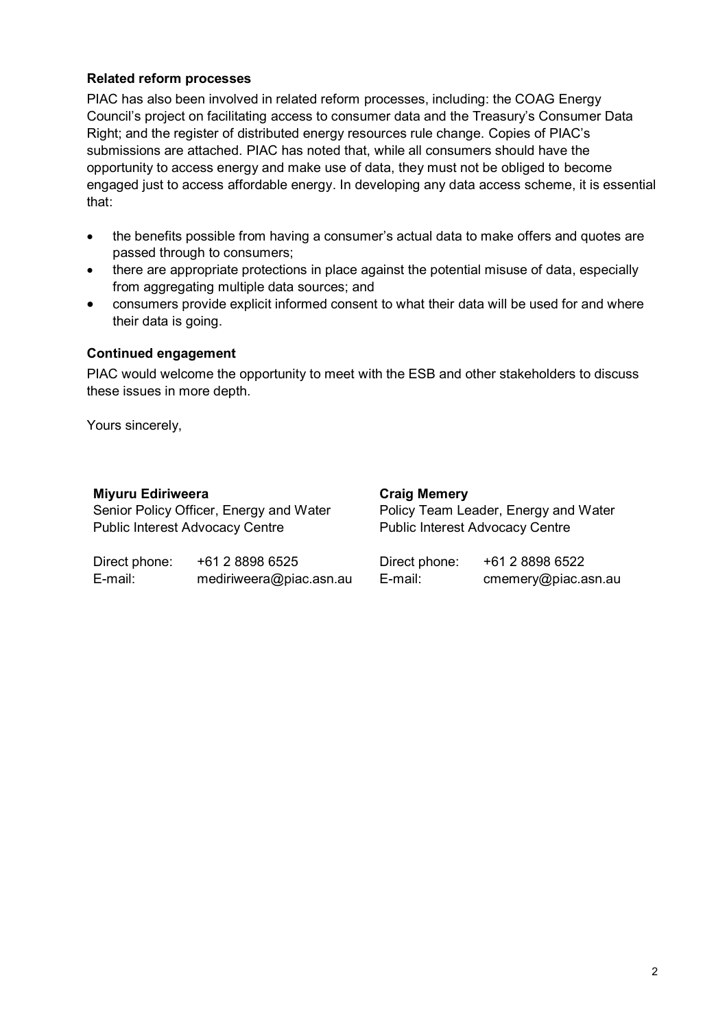### **Related reform processes**

PIAC has also been involved in related reform processes, including: the COAG Energy Council's project on facilitating access to consumer data and the Treasury's Consumer Data Right; and the register of distributed energy resources rule change. Copies of PIAC's submissions are attached. PIAC has noted that, while all consumers should have the opportunity to access energy and make use of data, they must not be obliged to become engaged just to access affordable energy. In developing any data access scheme, it is essential that:

- the benefits possible from having a consumer's actual data to make offers and quotes are passed through to consumers;
- there are appropriate protections in place against the potential misuse of data, especially from aggregating multiple data sources; and
- consumers provide explicit informed consent to what their data will be used for and where their data is going.

#### **Continued engagement**

PIAC would welcome the opportunity to meet with the ESB and other stakeholders to discuss these issues in more depth.

Yours sincerely,

## **Miyuru Ediriweera**

|                                                                                   |  | <b>VIGIN INDITION</b>                                                          |  |
|-----------------------------------------------------------------------------------|--|--------------------------------------------------------------------------------|--|
| Senior Policy Officer, Energy and Water<br><b>Public Interest Advocacy Centre</b> |  | Policy Team Leader, Energy and Water<br><b>Public Interest Advocacy Centre</b> |  |
|                                                                                   |  |                                                                                |  |

**Craig Memery**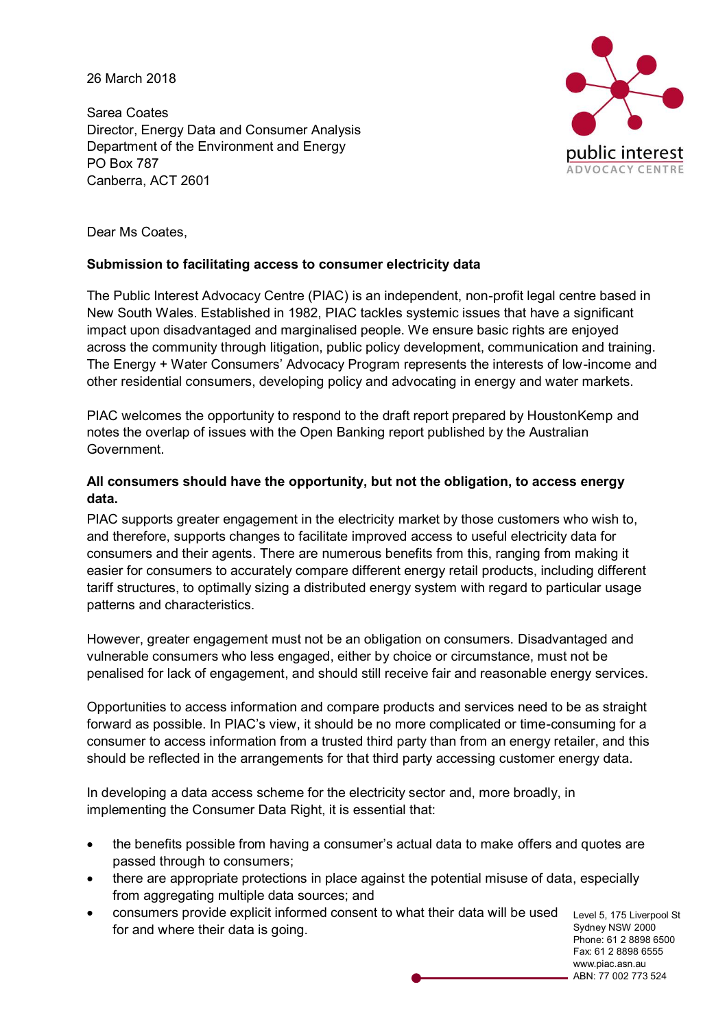26 March 2018

Sarea Coates Director, Energy Data and Consumer Analysis Department of the Environment and Energy PO Box 787 Canberra, ACT 2601



Dear Ms Coates,

#### **Submission to facilitating access to consumer electricity data**

The Public Interest Advocacy Centre (PIAC) is an independent, non-profit legal centre based in New South Wales. Established in 1982, PIAC tackles systemic issues that have a significant impact upon disadvantaged and marginalised people. We ensure basic rights are enjoyed across the community through litigation, public policy development, communication and training. The Energy + Water Consumers' Advocacy Program represents the interests of low-income and other residential consumers, developing policy and advocating in energy and water markets.

PIAC welcomes the opportunity to respond to the draft report prepared by HoustonKemp and notes the overlap of issues with the Open Banking report published by the Australian Government.

### **All consumers should have the opportunity, but not the obligation, to access energy data.**

PIAC supports greater engagement in the electricity market by those customers who wish to, and therefore, supports changes to facilitate improved access to useful electricity data for consumers and their agents. There are numerous benefits from this, ranging from making it easier for consumers to accurately compare different energy retail products, including different tariff structures, to optimally sizing a distributed energy system with regard to particular usage patterns and characteristics.

However, greater engagement must not be an obligation on consumers. Disadvantaged and vulnerable consumers who less engaged, either by choice or circumstance, must not be penalised for lack of engagement, and should still receive fair and reasonable energy services.

Opportunities to access information and compare products and services need to be as straight forward as possible. In PIAC's view, it should be no more complicated or time-consuming for a consumer to access information from a trusted third party than from an energy retailer, and this should be reflected in the arrangements for that third party accessing customer energy data.

In developing a data access scheme for the electricity sector and, more broadly, in implementing the Consumer Data Right, it is essential that:

- the benefits possible from having a consumer's actual data to make offers and quotes are passed through to consumers;
- there are appropriate protections in place against the potential misuse of data, especially from aggregating multiple data sources; and
- consumers provide explicit informed consent to what their data will be used for and where their data is going.

Level 5, 175 Liverpool St Sydney NSW 2000 Phone: 61 2 8898 6500 Fax: 61 2 8898 6555 www.piac.asn.au ABN: 77 002 773 524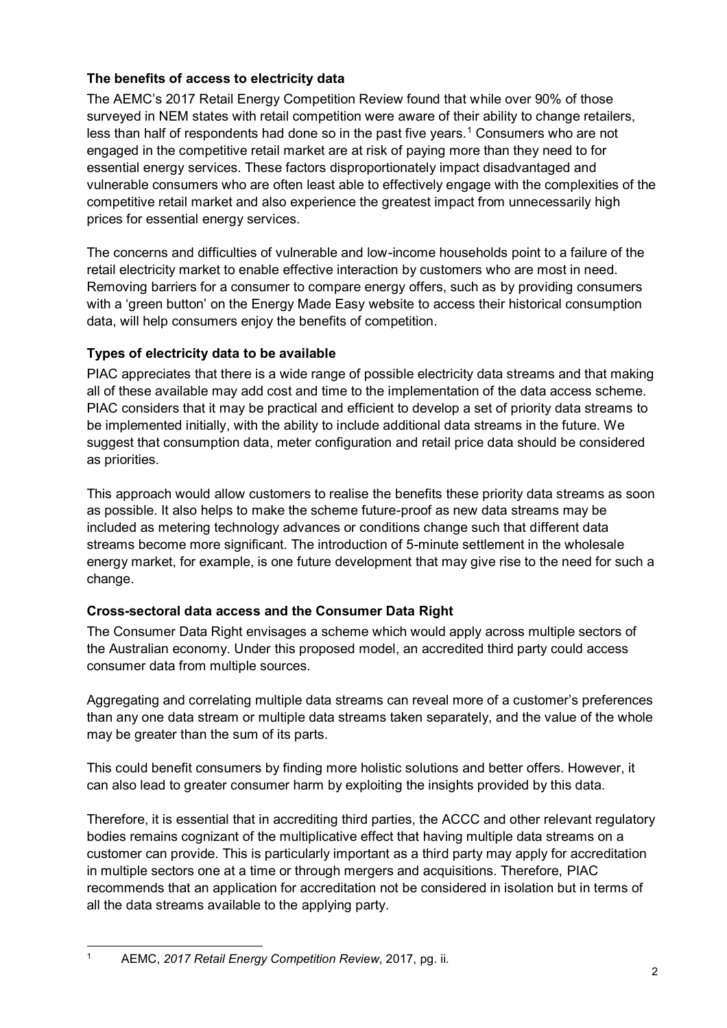## **The benefits of access to electricity data**

The AEMC's 2017 Retail Energy Competition Review found that while over 90% of those surveyed in NEM states with retail competition were aware of their ability to change retailers, less than half of respondents had done so in the past five years.<sup>1</sup> Consumers who are not engaged in the competitive retail market are at risk of paying more than they need to for essential energy services. These factors disproportionately impact disadvantaged and vulnerable consumers who are often least able to effectively engage with the complexities of the competitive retail market and also experience the greatest impact from unnecessarily high prices for essential energy services.

The concerns and difficulties of vulnerable and low-income households point to a failure of the retail electricity market to enable effective interaction by customers who are most in need. Removing barriers for a consumer to compare energy offers, such as by providing consumers with a 'green button' on the Energy Made Easy website to access their historical consumption data, will help consumers enjoy the benefits of competition.

## **Types of electricity data to be available**

PIAC appreciates that there is a wide range of possible electricity data streams and that making all of these available may add cost and time to the implementation of the data access scheme. PIAC considers that it may be practical and efficient to develop a set of priority data streams to be implemented initially, with the ability to include additional data streams in the future. We suggest that consumption data, meter configuration and retail price data should be considered as priorities.

This approach would allow customers to realise the benefits these priority data streams as soon as possible. It also helps to make the scheme future-proof as new data streams may be included as metering technology advances or conditions change such that different data streams become more significant. The introduction of 5-minute settlement in the wholesale energy market, for example, is one future development that may give rise to the need for such a change.

# **Cross-sectoral data access and the Consumer Data Right**

The Consumer Data Right envisages a scheme which would apply across multiple sectors of the Australian economy. Under this proposed model, an accredited third party could access consumer data from multiple sources.

Aggregating and correlating multiple data streams can reveal more of a customer's preferences than any one data stream or multiple data streams taken separately, and the value of the whole may be greater than the sum of its parts.

This could benefit consumers by finding more holistic solutions and better offers. However, it can also lead to greater consumer harm by exploiting the insights provided by this data.

Therefore, it is essential that in accrediting third parties, the ACCC and other relevant regulatory bodies remains cognizant of the multiplicative effect that having multiple data streams on a customer can provide. This is particularly important as a third party may apply for accreditation in multiple sectors one at a time or through mergers and acquisitions. Therefore, PIAC recommends that an application for accreditation not be considered in isolation but in terms of all the data streams available to the applying party.

 <sup>1</sup> AEMC, *2017 Retail Energy Competition Review*, 2017, pg. ii.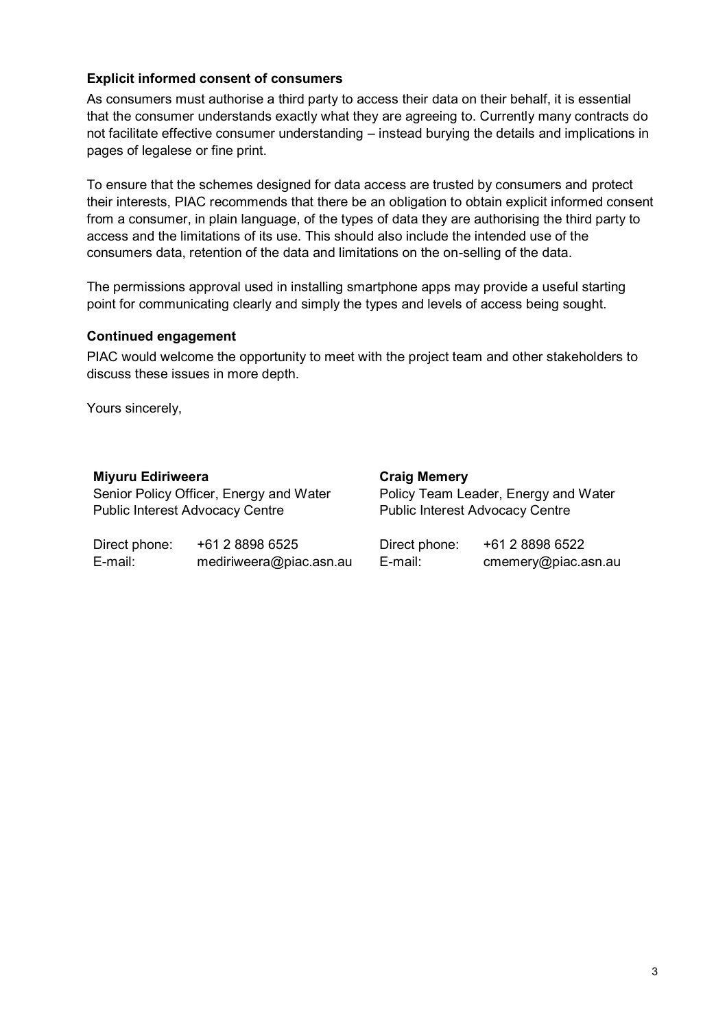### **Explicit informed consent of consumers**

As consumers must authorise a third party to access their data on their behalf, it is essential that the consumer understands exactly what they are agreeing to. Currently many contracts do not facilitate effective consumer understanding – instead burying the details and implications in pages of legalese or fine print.

To ensure that the schemes designed for data access are trusted by consumers and protect their interests, PIAC recommends that there be an obligation to obtain explicit informed consent from a consumer, in plain language, of the types of data they are authorising the third party to access and the limitations of its use. This should also include the intended use of the consumers data, retention of the data and limitations on the on-selling of the data.

The permissions approval used in installing smartphone apps may provide a useful starting point for communicating clearly and simply the types and levels of access being sought.

#### **Continued engagement**

PIAC would welcome the opportunity to meet with the project team and other stakeholders to discuss these issues in more depth.

Yours sincerely,

|  | Miyuru Ediriweera |
|--|-------------------|
|--|-------------------|

Senior Policy Officer, Energy and Water Public Interest Advocacy Centre

Direct phone: +61 2 8898 6525 E-mail: mediriweera@piac.asn.au **Craig Memery** Policy Team Leader, Energy and Water Public Interest Advocacy Centre

Direct phone: +61 2 8898 6522 E-mail: cmemery@piac.asn.au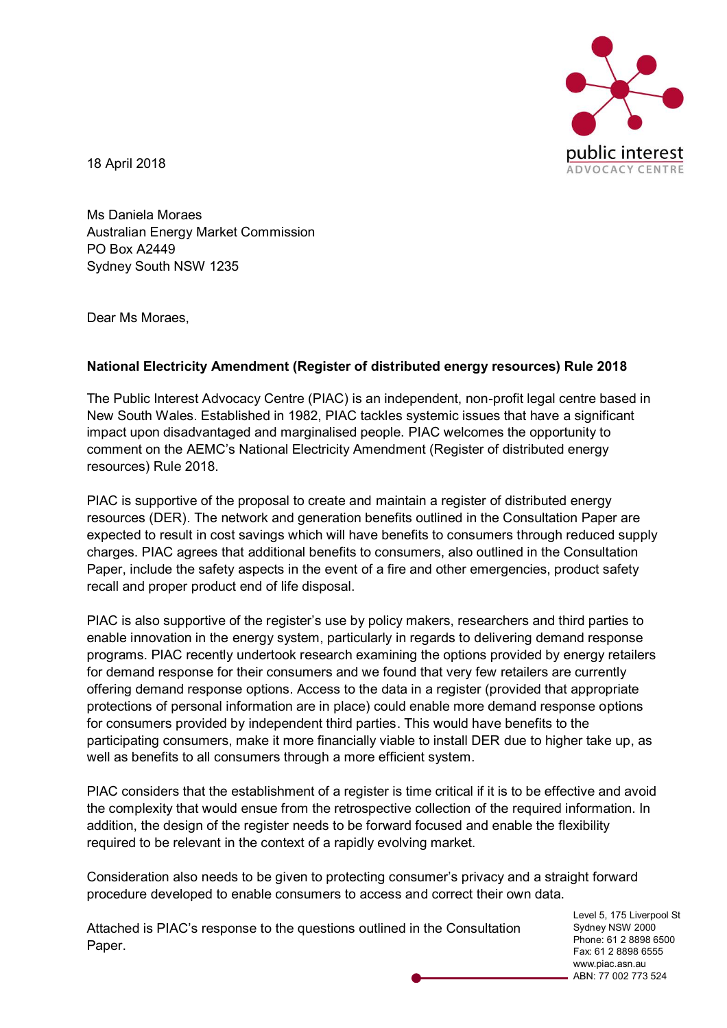

18 April 2018

Ms Daniela Moraes Australian Energy Market Commission PO Box A2449 Sydney South NSW 1235

Dear Ms Moraes,

## **National Electricity Amendment (Register of distributed energy resources) Rule 2018**

The Public Interest Advocacy Centre (PIAC) is an independent, non-profit legal centre based in New South Wales. Established in 1982, PIAC tackles systemic issues that have a significant impact upon disadvantaged and marginalised people. PIAC welcomes the opportunity to comment on the AEMC's National Electricity Amendment (Register of distributed energy resources) Rule 2018.

PIAC is supportive of the proposal to create and maintain a register of distributed energy resources (DER). The network and generation benefits outlined in the Consultation Paper are expected to result in cost savings which will have benefits to consumers through reduced supply charges. PIAC agrees that additional benefits to consumers, also outlined in the Consultation Paper, include the safety aspects in the event of a fire and other emergencies, product safety recall and proper product end of life disposal.

PIAC is also supportive of the register's use by policy makers, researchers and third parties to enable innovation in the energy system, particularly in regards to delivering demand response programs. PIAC recently undertook research examining the options provided by energy retailers for demand response for their consumers and we found that very few retailers are currently offering demand response options. Access to the data in a register (provided that appropriate protections of personal information are in place) could enable more demand response options for consumers provided by independent third parties. This would have benefits to the participating consumers, make it more financially viable to install DER due to higher take up, as well as benefits to all consumers through a more efficient system.

PIAC considers that the establishment of a register is time critical if it is to be effective and avoid the complexity that would ensue from the retrospective collection of the required information. In addition, the design of the register needs to be forward focused and enable the flexibility required to be relevant in the context of a rapidly evolving market.

Consideration also needs to be given to protecting consumer's privacy and a straight forward procedure developed to enable consumers to access and correct their own data.

Attached is PIAC's response to the questions outlined in the Consultation Paper.

Level 5, 175 Liverpool St Sydney NSW 2000 Phone: 61 2 8898 6500 Fax: 61 2 8898 6555 www.piac.asn.au ABN: 77 002 773 524